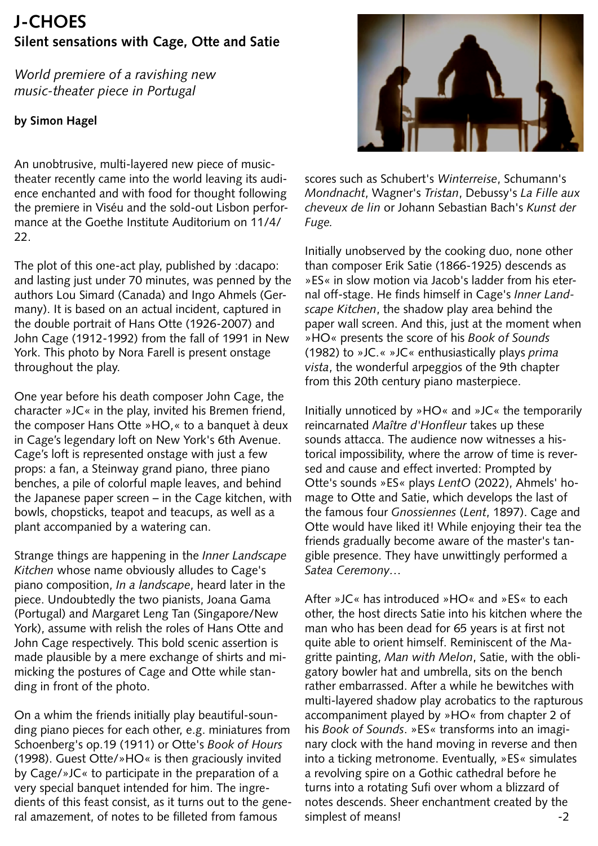## **J-CHOES Silent sensations with Cage, Otte and Satie**

*World premiere of a ravishing new music-theater piece in Portugal* 

## **by Simon Hagel**

An unobtrusive, multi-layered new piece of musictheater recently came into the world leaving its audience enchanted and with food for thought following the premiere in Viséu and the sold-out Lisbon performance at the Goethe Institute Auditorium on 11/4/ 22.

The plot of this one-act play, published by :dacapo: and lasting just under 70 minutes, was penned by the authors Lou Simard (Canada) and Ingo Ahmels (Germany). It is based on an actual incident, captured in the double portrait of Hans Otte (1926-2007) and John Cage (1912-1992) from the fall of 1991 in New York. This photo by Nora Farell is present onstage throughout the play.

One year before his death composer John Cage, the character »JC« in the play, invited his Bremen friend, the composer Hans Otte »HO,« to a banquet à deux in Cage's legendary loft on New York's 6th Avenue. Cage's loft is represented onstage with just a few props: a fan, a Steinway grand piano, three piano benches, a pile of colorful maple leaves, and behind the Japanese paper screen – in the Cage kitchen, with bowls, chopsticks, teapot and teacups, as well as a plant accompanied by a watering can.

Strange things are happening in the *Inner Landscape Kitchen* whose name obviously alludes to Cage's piano composition, *In a landscape*, heard later in the piece. Undoubtedly the two pianists, Joana Gama (Portugal) and Margaret Leng Tan (Singapore/New York), assume with relish the roles of Hans Otte and John Cage respectively. This bold scenic assertion is made plausible by a mere exchange of shirts and mimicking the postures of Cage and Otte while standing in front of the photo.

On a whim the friends initially play beautiful-sounding piano pieces for each other, e.g. miniatures from Schoenberg's op.19 (1911) or Otte's *Book of Hours* (1998). Guest Otte/»HO« is then graciously invited by Cage/»JC« to participate in the preparation of a very special banquet intended for him. The ingredients of this feast consist, as it turns out to the general amazement, of notes to be filleted from famous



scores such as Schubert's *Winterreise*, Schumann's *Mondnacht*, Wagner's *Tristan*, Debussy's *La Fille aux cheveux de lin* or Johann Sebastian Bach's *Kunst der Fuge.* 

Initially unobserved by the cooking duo, none other than composer Erik Satie (1866-1925) descends as »ES« in slow motion via Jacob's ladder from his eternal off-stage. He finds himself in Cage's *Inner Landscape Kitchen*, the shadow play area behind the paper wall screen. And this, just at the moment when »HO« presents the score of his *Book of Sounds* (1982) to »JC.« »JC« enthusiastically plays *prima vista*, the wonderful arpeggios of the 9th chapter from this 20th century piano masterpiece.

Initially unnoticed by »HO« and »JC« the temporarily reincarnated *Maître d'Honfleur* takes up these sounds attacca. The audience now witnesses a historical impossibility, where the arrow of time is reversed and cause and effect inverted: Prompted by Otte's sounds »ES« plays *LentO* (2022), Ahmels' homage to Otte and Satie, which develops the last of the famous four *Gnossiennes* (*Lent*, 1897). Cage and Otte would have liked it! While enjoying their tea the friends gradually become aware of the master's tangible presence. They have unwittingly performed a *Satea Ceremony…*

After »JC« has introduced »HO« and »ES« to each other, the host directs Satie into his kitchen where the man who has been dead for 65 years is at first not quite able to orient himself. Reminiscent of the Magritte painting, *Man with Melon*, Satie, with the obligatory bowler hat and umbrella, sits on the bench rather embarrassed. After a while he bewitches with multi-layered shadow play acrobatics to the rapturous accompaniment played by »HO« from chapter 2 of his *Book of Sounds*. »ES« transforms into an imaginary clock with the hand moving in reverse and then into a ticking metronome. Eventually, »ES« simulates a revolving spire on a Gothic cathedral before he turns into a rotating Sufi over whom a blizzard of notes descends. Sheer enchantment created by the simplest of means!